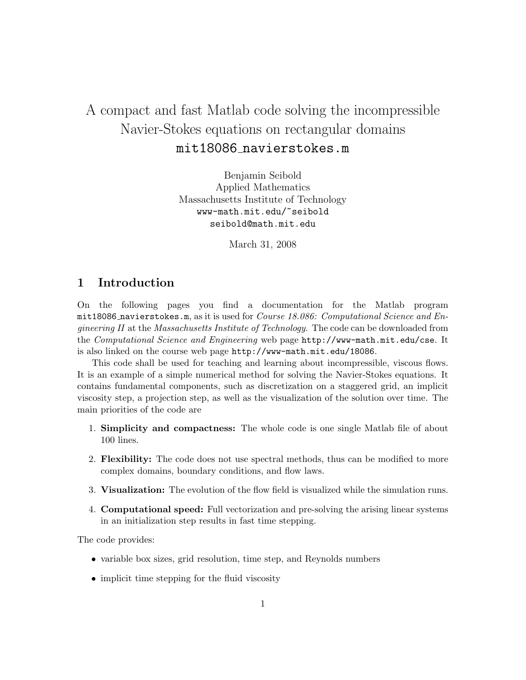# A compact and fast Matlab code solving the incompressible Navier-Stokes equations on rectangular domains mit18086 navierstokes.m

Benjamin Seibold Applied Mathematics Massachusetts Institute of Technology www-math.mit.edu/~seibold seibold@math.mit.edu

March 31, 2008

# 1 Introduction

On the following pages you find a documentation for the Matlab program  $m$ it18086 navierstokes.m, as it is used for *Course 18.086: Computational Science and En*gineering II at the Massachusetts Institute of Technology. The code can be downloaded from the Computational Science and Engineering web page http://www-math.mit.edu/cse. It is also linked on the course web page http://www-math.mit.edu/18086.

This code shall be used for teaching and learning about incompressible, viscous flows. It is an example of a simple numerical method for solving the Navier-Stokes equations. It contains fundamental components, such as discretization on a staggered grid, an implicit viscosity step, a projection step, as well as the visualization of the solution over time. The main priorities of the code are

- 1. Simplicity and compactness: The whole code is one single Matlab file of about 100 lines.
- 2. Flexibility: The code does not use spectral methods, thus can be modified to more complex domains, boundary conditions, and flow laws.
- 3. Visualization: The evolution of the flow field is visualized while the simulation runs.
- 4. Computational speed: Full vectorization and pre-solving the arising linear systems in an initialization step results in fast time stepping.

The code provides:

- variable box sizes, grid resolution, time step, and Reynolds numbers
- implicit time stepping for the fluid viscosity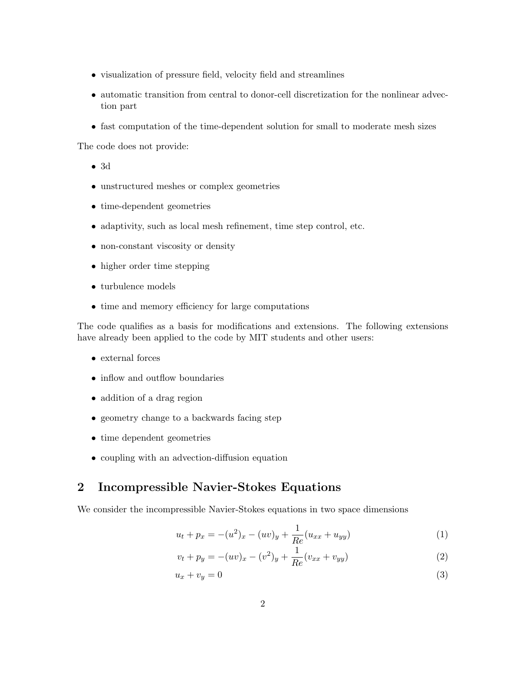- visualization of pressure field, velocity field and streamlines
- automatic transition from central to donor-cell discretization for the nonlinear advection part
- fast computation of the time-dependent solution for small to moderate mesh sizes

The code does not provide:

- 3d
- unstructured meshes or complex geometries
- time-dependent geometries
- adaptivity, such as local mesh refinement, time step control, etc.
- non-constant viscosity or density
- higher order time stepping
- turbulence models
- time and memory efficiency for large computations

The code qualifies as a basis for modifications and extensions. The following extensions have already been applied to the code by MIT students and other users:

- external forces
- inflow and outflow boundaries
- addition of a drag region
- geometry change to a backwards facing step
- time dependent geometries
- coupling with an advection-diffusion equation

# 2 Incompressible Navier-Stokes Equations

We consider the incompressible Navier-Stokes equations in two space dimensions

$$
u_t + p_x = -(u^2)_x - (uv)_y + \frac{1}{Re}(u_{xx} + u_{yy})
$$
\n(1)

$$
v_t + p_y = -(uv)_x - (v^2)_y + \frac{1}{Re}(v_{xx} + v_{yy})
$$
\n(2)

$$
u_x + v_y = 0 \tag{3}
$$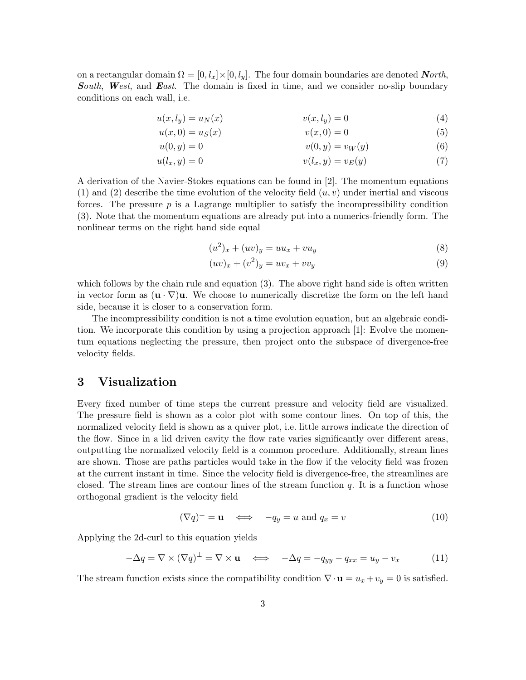on a rectangular domain  $\Omega = [0, l_x] \times [0, l_y]$ . The four domain boundaries are denoted *North*, South, West, and East. The domain is fixed in time, and we consider no-slip boundary conditions on each wall, i.e.

$$
u(x, l_y) = u_N(x) \qquad \qquad v(x, l_y) = 0 \tag{4}
$$

$$
u(x,0) = u_S(x) \t\t v(x,0) = 0 \t\t(5)
$$

$$
u(0, y) = 0 \qquad \qquad v(0, y) = v_W(y) \tag{6}
$$

$$
u(l_x, y) = 0 \qquad \qquad v(l_x, y) = v_E(y) \tag{7}
$$

A derivation of the Navier-Stokes equations can be found in [2]. The momentum equations (1) and (2) describe the time evolution of the velocity field  $(u, v)$  under inertial and viscous forces. The pressure  $p$  is a Lagrange multiplier to satisfy the incompressibility condition (3). Note that the momentum equations are already put into a numerics-friendly form. The nonlinear terms on the right hand side equal

$$
(u2)x + (uv)y = uux + vuy
$$
\n(8)

$$
(uv)_x + (v^2)_y = uv_x + vv_y \tag{9}
$$

which follows by the chain rule and equation (3). The above right hand side is often written in vector form as  $(\mathbf{u} \cdot \nabla) \mathbf{u}$ . We choose to numerically discretize the form on the left hand side, because it is closer to a conservation form.

The incompressibility condition is not a time evolution equation, but an algebraic condition. We incorporate this condition by using a projection approach [1]: Evolve the momentum equations neglecting the pressure, then project onto the subspace of divergence-free velocity fields.

# 3 Visualization

Every fixed number of time steps the current pressure and velocity field are visualized. The pressure field is shown as a color plot with some contour lines. On top of this, the normalized velocity field is shown as a quiver plot, i.e. little arrows indicate the direction of the flow. Since in a lid driven cavity the flow rate varies significantly over different areas, outputting the normalized velocity field is a common procedure. Additionally, stream lines are shown. Those are paths particles would take in the flow if the velocity field was frozen at the current instant in time. Since the velocity field is divergence-free, the streamlines are closed. The stream lines are contour lines of the stream function  $q$ . It is a function whose orthogonal gradient is the velocity field

$$
(\nabla q)^{\perp} = \mathbf{u} \iff -q_y = u \text{ and } q_x = v \tag{10}
$$

Applying the 2d-curl to this equation yields

$$
-\Delta q = \nabla \times (\nabla q)^{\perp} = \nabla \times \mathbf{u} \iff -\Delta q = -q_{yy} - q_{xx} = u_y - v_x \tag{11}
$$

The stream function exists since the compatibility condition  $\nabla \cdot \mathbf{u} = u_x + v_y = 0$  is satisfied.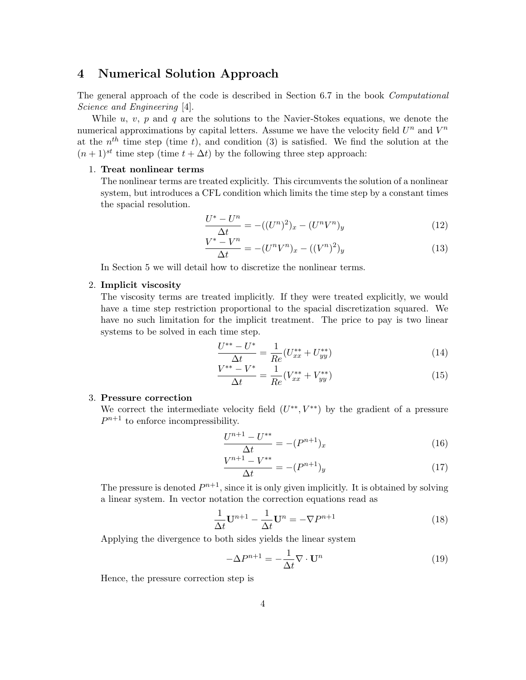# 4 Numerical Solution Approach

The general approach of the code is described in Section 6.7 in the book Computational Science and Engineering [4].

While u, v, p and q are the solutions to the Navier-Stokes equations, we denote the numerical approximations by capital letters. Assume we have the velocity field  $U^n$  and  $V^n$ at the  $n^{th}$  time step (time t), and condition (3) is satisfied. We find the solution at the  $(n+1)^{st}$  time step (time  $t + \Delta t$ ) by the following three step approach:

#### 1. Treat nonlinear terms

The nonlinear terms are treated explicitly. This circumvents the solution of a nonlinear system, but introduces a CFL condition which limits the time step by a constant times the spacial resolution.

$$
\frac{U^* - U^n}{\Delta t} = -((U^n)^2)_x - (U^n V^n)_y \tag{12}
$$

$$
\frac{V^* - V^n}{\Delta t} = -(U^n V^n)_x - ((V^n)^2)_y \tag{13}
$$

In Section 5 we will detail how to discretize the nonlinear terms.

#### 2. Implicit viscosity

The viscosity terms are treated implicitly. If they were treated explicitly, we would have a time step restriction proportional to the spacial discretization squared. We have no such limitation for the implicit treatment. The price to pay is two linear systems to be solved in each time step.

$$
\frac{U^{**} - U^*}{\Delta t} = \frac{1}{Re} (U_{xx}^{**} + U_{yy}^{**})
$$
\n(14)

$$
\frac{V^{**} - V^*}{\Delta t} = \frac{1}{Re}(V_{xx}^{**} + V_{yy}^{**})
$$
\n(15)

### 3. Pressure correction

We correct the intermediate velocity field  $(U^{**}, V^{**})$  by the gradient of a pressure  $P^{n+1}$  to enforce incompressibility.

$$
\frac{U^{n+1} - U^{**}}{\Delta t} = -(P^{n+1})_x\tag{16}
$$

$$
\frac{V^{n+1} - V^{**}}{\Delta t} = -(P^{n+1})_y \tag{17}
$$

The pressure is denoted  $P^{n+1}$ , since it is only given implicitly. It is obtained by solving a linear system. In vector notation the correction equations read as

$$
\frac{1}{\Delta t}\mathbf{U}^{n+1} - \frac{1}{\Delta t}\mathbf{U}^n = -\nabla P^{n+1}
$$
\n(18)

Applying the divergence to both sides yields the linear system

$$
-\Delta P^{n+1} = -\frac{1}{\Delta t} \nabla \cdot \mathbf{U}^n \tag{19}
$$

Hence, the pressure correction step is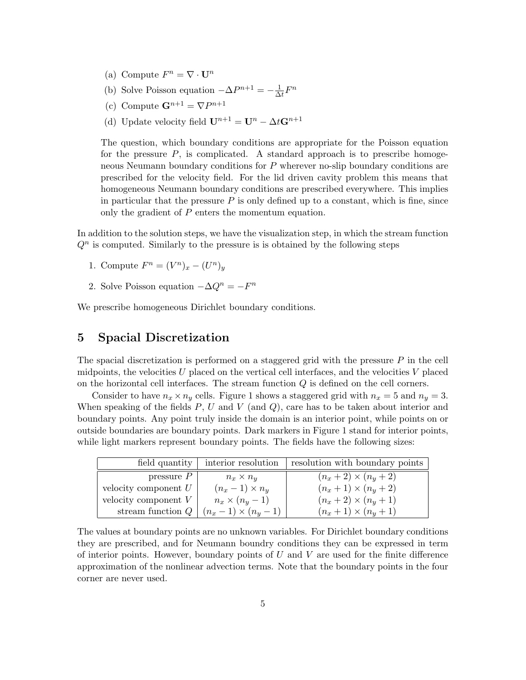- (a) Compute  $F^n = \nabla \cdot \mathbf{U}^n$
- (b) Solve Poisson equation  $-\Delta P^{n+1} = -\frac{1}{\Delta}$  $\frac{1}{\Delta t}F^n$
- (c) Compute  $\mathbf{G}^{n+1} = \nabla P^{n+1}$
- (d) Update velocity field  $\mathbf{U}^{n+1} = \mathbf{U}^n \Delta t \mathbf{G}^{n+1}$

The question, which boundary conditions are appropriate for the Poisson equation for the pressure  $P$ , is complicated. A standard approach is to prescribe homogeneous Neumann boundary conditions for P wherever no-slip boundary conditions are prescribed for the velocity field. For the lid driven cavity problem this means that homogeneous Neumann boundary conditions are prescribed everywhere. This implies in particular that the pressure  $P$  is only defined up to a constant, which is fine, since only the gradient of P enters the momentum equation.

In addition to the solution steps, we have the visualization step, in which the stream function  $Q<sup>n</sup>$  is computed. Similarly to the pressure is is obtained by the following steps

- 1. Compute  $F^n = (V^n)_x (U^n)_y$
- 2. Solve Poisson equation  $-\Delta Q^n = -F^n$

We prescribe homogeneous Dirichlet boundary conditions.

# 5 Spacial Discretization

The spacial discretization is performed on a staggered grid with the pressure  $P$  in the cell midpoints, the velocities  $U$  placed on the vertical cell interfaces, and the velocities  $V$  placed on the horizontal cell interfaces. The stream function Q is defined on the cell corners.

Consider to have  $n_x \times n_y$  cells. Figure 1 shows a staggered grid with  $n_x = 5$  and  $n_y = 3$ . When speaking of the fields  $P, U$  and  $V$  (and  $Q$ ), care has to be taken about interior and boundary points. Any point truly inside the domain is an interior point, while points on or outside boundaries are boundary points. Dark markers in Figure 1 stand for interior points, while light markers represent boundary points. The fields have the following sizes:

|                        | field quantity   interior resolution | resolution with boundary points |
|------------------------|--------------------------------------|---------------------------------|
| pressure $P$           | $n_x \times n_y$                     | $(n_x + 2) \times (n_y + 2)$    |
| velocity component $U$ | $(n_x-1)\times n_y$                  | $(n_x + 1) \times (n_y + 2)$    |
| velocity component $V$ | $n_x \times (n_y - 1)$               | $(n_x + 2) \times (n_y + 1)$    |
| stream function $Q$    | $(n_x - 1) \times (n_y - 1)$         | $(n_x + 1) \times (n_y + 1)$    |

The values at boundary points are no unknown variables. For Dirichlet boundary conditions they are prescribed, and for Neumann boundry conditions they can be expressed in term of interior points. However, boundary points of  $U$  and  $V$  are used for the finite difference approximation of the nonlinear advection terms. Note that the boundary points in the four corner are never used.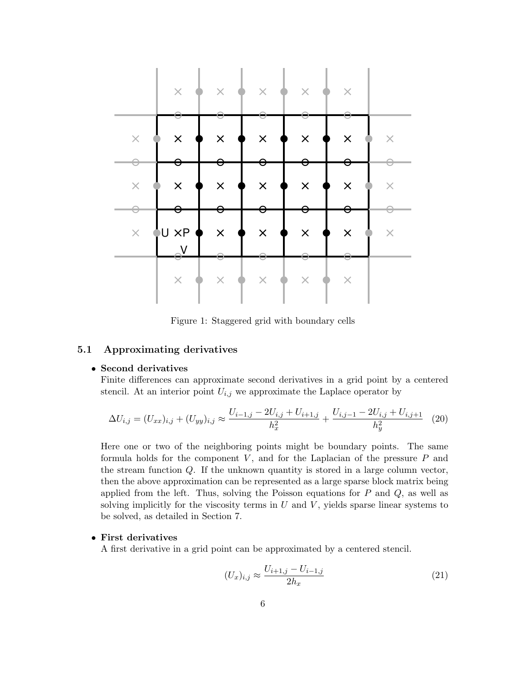

Figure 1: Staggered grid with boundary cells

### 5.1 Approximating derivatives

### • Second derivatives

Finite differences can approximate second derivatives in a grid point by a centered stencil. At an interior point  $U_{i,j}$  we approximate the Laplace operator by

$$
\Delta U_{i,j} = (U_{xx})_{i,j} + (U_{yy})_{i,j} \approx \frac{U_{i-1,j} - 2U_{i,j} + U_{i+1,j}}{h_x^2} + \frac{U_{i,j-1} - 2U_{i,j} + U_{i,j+1}}{h_y^2}
$$
(20)

Here one or two of the neighboring points might be boundary points. The same formula holds for the component  $V$ , and for the Laplacian of the pressure  $P$  and the stream function  $Q$ . If the unknown quantity is stored in a large column vector, then the above approximation can be represented as a large sparse block matrix being applied from the left. Thus, solving the Poisson equations for  $P$  and  $Q$ , as well as solving implicitly for the viscosity terms in  $U$  and  $V$ , yields sparse linear systems to be solved, as detailed in Section 7.

### • First derivatives

A first derivative in a grid point can be approximated by a centered stencil.

$$
(U_x)_{i,j} \approx \frac{U_{i+1,j} - U_{i-1,j}}{2h_x} \tag{21}
$$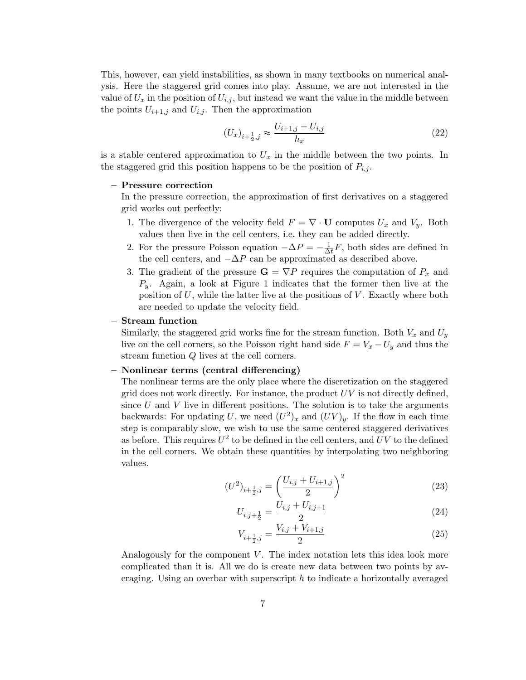This, however, can yield instabilities, as shown in many textbooks on numerical analysis. Here the staggered grid comes into play. Assume, we are not interested in the value of  $U_x$  in the position of  $U_{i,j}$ , but instead we want the value in the middle between the points  $U_{i+1,j}$  and  $U_{i,j}$ . Then the approximation

$$
(U_x)_{i+\frac{1}{2},j} \approx \frac{U_{i+1,j} - U_{i,j}}{h_x} \tag{22}
$$

is a stable centered approximation to  $U_x$  in the middle between the two points. In the staggered grid this position happens to be the position of  $P_{i,j}$ .

#### – Pressure correction

In the pressure correction, the approximation of first derivatives on a staggered grid works out perfectly:

- 1. The divergence of the velocity field  $F = \nabla \cdot \mathbf{U}$  computes  $U_x$  and  $V_y$ . Both values then live in the cell centers, i.e. they can be added directly.
- 2. For the pressure Poisson equation  $-\Delta P = -\frac{1}{\Delta}$  $\frac{1}{\Delta t}F$ , both sides are defined in the cell centers, and  $-\Delta P$  can be approximated as described above.
- 3. The gradient of the pressure  $G = \nabla P$  requires the computation of  $P_x$  and  $P_y$ . Again, a look at Figure 1 indicates that the former then live at the position of  $U$ , while the latter live at the positions of  $V$ . Exactly where both are needed to update the velocity field.

#### – Stream function

Similarly, the staggered grid works fine for the stream function. Both  $V_x$  and  $U_y$ live on the cell corners, so the Poisson right hand side  $F = V_x - U_y$  and thus the stream function Q lives at the cell corners.

### – Nonlinear terms (central differencing)

The nonlinear terms are the only place where the discretization on the staggered grid does not work directly. For instance, the product  $UV$  is not directly defined, since  $U$  and  $V$  live in different positions. The solution is to take the arguments backwards: For updating U, we need  $(U^2)_x$  and  $(UV)_y$ . If the flow in each time step is comparably slow, we wish to use the same centered staggered derivatives as before. This requires  $U^2$  to be defined in the cell centers, and  $UV$  to the defined in the cell corners. We obtain these quantities by interpolating two neighboring values.

$$
(U^2)_{i+\frac{1}{2},j} = \left(\frac{U_{i,j} + U_{i+1,j}}{2}\right)^2 \tag{23}
$$

$$
U_{i,j+\frac{1}{2}} = \frac{U_{i,j} + U_{i,j+1}}{2} \tag{24}
$$

$$
V_{i+\frac{1}{2},j} = \frac{V_{i,j} + V_{i+1,j}}{2} \tag{25}
$$

Analogously for the component  $V$ . The index notation lets this idea look more complicated than it is. All we do is create new data between two points by averaging. Using an overbar with superscript  $h$  to indicate a horizontally averaged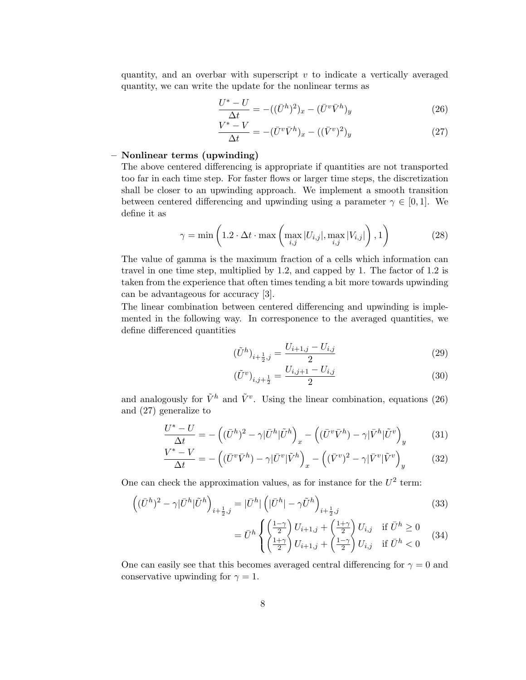quantity, and an overbar with superscript  $v$  to indicate a vertically averaged quantity, we can write the update for the nonlinear terms as

$$
\frac{U^* - U}{\Delta t} = -((\bar{U}^h)^2)_x - (\bar{U}^v \bar{V}^h)_y \tag{26}
$$

$$
\frac{V^* - V}{\Delta t} = -(\bar{U}^v \bar{V}^h)_x - ((\bar{V}^v)^2)_y \tag{27}
$$

## – Nonlinear terms (upwinding)

The above centered differencing is appropriate if quantities are not transported too far in each time step. For faster flows or larger time steps, the discretization shall be closer to an upwinding approach. We implement a smooth transition between centered differencing and upwinding using a parameter  $\gamma \in [0, 1]$ . We define it as

$$
\gamma = \min\left(1.2 \cdot \Delta t \cdot \max\left(\max_{i,j} |U_{i,j}|, \max_{i,j} |V_{i,j}|\right), 1\right) \tag{28}
$$

The value of gamma is the maximum fraction of a cells which information can travel in one time step, multiplied by 1.2, and capped by 1. The factor of 1.2 is taken from the experience that often times tending a bit more towards upwinding can be advantageous for accuracy [3].

The linear combination between centered differencing and upwinding is implemented in the following way. In corresponence to the averaged quantities, we define differenced quantities

$$
(\tilde{U}^h)_{i+\frac{1}{2},j} = \frac{U_{i+1,j} - U_{i,j}}{2} \tag{29}
$$

$$
(\tilde{U}^v)_{i,j+\frac{1}{2}} = \frac{U_{i,j+1} - U_{i,j}}{2}
$$
\n(30)

and analogously for  $\tilde{V}^h$  and  $\tilde{V}^v$ . Using the linear combination, equations (26) and (27) generalize to

$$
\frac{U^* - U}{\Delta t} = -\left( (\bar{U}^h)^2 - \gamma |\bar{U}^h| \tilde{U}^h \right)_x - \left( (\bar{U}^v \bar{V}^h) - \gamma |\bar{V}^h| \tilde{U}^v \right)_y \tag{31}
$$

$$
\frac{V^* - V}{\Delta t} = -\left( (\bar{U}^v \bar{V}^h) - \gamma |\bar{U}^v| \tilde{V}^h \right)_x - \left( (\bar{V}^v)^2 - \gamma |\bar{V}^v| \tilde{V}^v \right)_y \tag{32}
$$

One can check the approximation values, as for instance for the  $U^2$  term:

$$
\left( (\bar{U}^h)^2 - \gamma |\bar{U}^h| \tilde{U}^h \right)_{i + \frac{1}{2}, j} = |\bar{U}^h| \left( |\bar{U}^h| - \gamma \tilde{U}^h \right)_{i + \frac{1}{2}, j} \tag{33}
$$

$$
= \bar{U}^h \begin{cases} \left(\frac{1-\gamma}{2}\right) U_{i+1,j} + \left(\frac{1+\gamma}{2}\right) U_{i,j} & \text{if } \bar{U}^h \ge 0\\ \left(\frac{1+\gamma}{2}\right) U_{i+1,j} + \left(\frac{1-\gamma}{2}\right) U_{i,j} & \text{if } \bar{U}^h < 0 \end{cases}
$$
 (34)

One can easily see that this becomes averaged central differencing for  $\gamma = 0$  and conservative upwinding for  $\gamma = 1$ .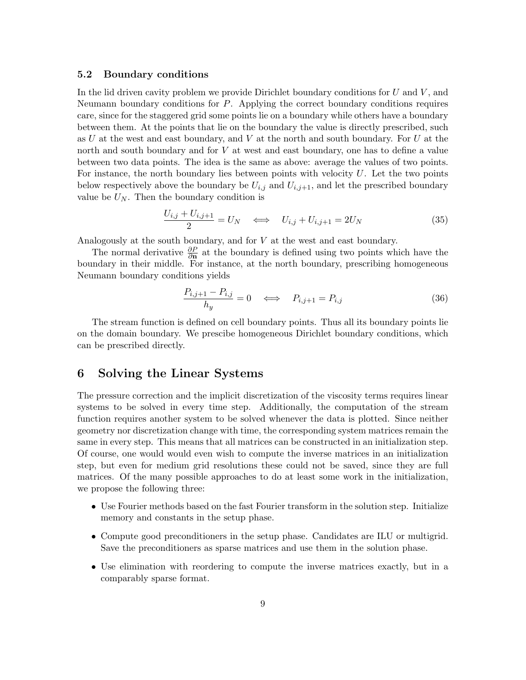#### 5.2 Boundary conditions

In the lid driven cavity problem we provide Dirichlet boundary conditions for  $U$  and  $V$ , and Neumann boundary conditions for P. Applying the correct boundary conditions requires care, since for the staggered grid some points lie on a boundary while others have a boundary between them. At the points that lie on the boundary the value is directly prescribed, such as U at the west and east boundary, and V at the north and south boundary. For U at the north and south boundary and for V at west and east boundary, one has to define a value between two data points. The idea is the same as above: average the values of two points. For instance, the north boundary lies between points with velocity  $U$ . Let the two points below respectively above the boundary be  $U_{i,j}$  and  $U_{i,j+1}$ , and let the prescribed boundary value be  $U_N$ . Then the boundary condition is

$$
\frac{U_{i,j} + U_{i,j+1}}{2} = U_N \quad \Longleftrightarrow \quad U_{i,j} + U_{i,j+1} = 2U_N \tag{35}
$$

Analogously at the south boundary, and for V at the west and east boundary.

The normal derivative  $\frac{\partial P}{\partial n}$  at the boundary is defined using two points which have the boundary in their middle. For instance, at the north boundary, prescribing homogeneous Neumann boundary conditions yields

$$
\frac{P_{i,j+1} - P_{i,j}}{h_y} = 0 \quad \Longleftrightarrow \quad P_{i,j+1} = P_{i,j} \tag{36}
$$

The stream function is defined on cell boundary points. Thus all its boundary points lie on the domain boundary. We prescibe homogeneous Dirichlet boundary conditions, which can be prescribed directly.

# 6 Solving the Linear Systems

The pressure correction and the implicit discretization of the viscosity terms requires linear systems to be solved in every time step. Additionally, the computation of the stream function requires another system to be solved whenever the data is plotted. Since neither geometry nor discretization change with time, the corresponding system matrices remain the same in every step. This means that all matrices can be constructed in an initialization step. Of course, one would would even wish to compute the inverse matrices in an initialization step, but even for medium grid resolutions these could not be saved, since they are full matrices. Of the many possible approaches to do at least some work in the initialization, we propose the following three:

- Use Fourier methods based on the fast Fourier transform in the solution step. Initialize memory and constants in the setup phase.
- Compute good preconditioners in the setup phase. Candidates are ILU or multigrid. Save the preconditioners as sparse matrices and use them in the solution phase.
- Use elimination with reordering to compute the inverse matrices exactly, but in a comparably sparse format.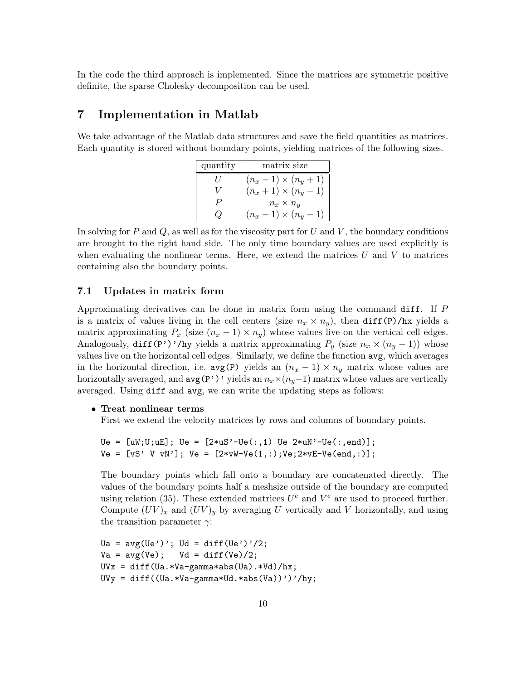In the code the third approach is implemented. Since the matrices are symmetric positive definite, the sparse Cholesky decomposition can be used.

# 7 Implementation in Matlab

We take advantage of the Matlab data structures and save the field quantities as matrices. Each quantity is stored without boundary points, yielding matrices of the following sizes.

| quantity | matrix size                  |  |
|----------|------------------------------|--|
|          | $(n_x - 1) \times (n_y + 1)$ |  |
|          | $(n_x + 1) \times (n_y - 1)$ |  |
|          | $n_x \times n_y$             |  |
|          | $(n_x-1)\times(n_y)$         |  |

In solving for P and Q, as well as for the viscosity part for U and V, the boundary conditions are brought to the right hand side. The only time boundary values are used explicitly is when evaluating the nonlinear terms. Here, we extend the matrices  $U$  and  $V$  to matrices containing also the boundary points.

#### 7.1 Updates in matrix form

Approximating derivatives can be done in matrix form using the command diff. If P is a matrix of values living in the cell centers (size  $n_x \times n_y$ ), then diff(P)/hx yields a matrix approximating  $P_x$  (size  $(n_x - 1) \times n_y$ ) whose values live on the vertical cell edges. Analogously, diff(P')'/hy yields a matrix approximating  $P_y$  (size  $n_x \times (n_y - 1)$ ) whose values live on the horizontal cell edges. Similarly, we define the function avg, which averages in the horizontal direction, i.e.  $avg(P)$  yields an  $(n_x - 1) \times n_y$  matrix whose values are horizontally averaged, and  $\arg(P')'$  yields an  $n_x \times (n_y-1)$  matrix whose values are vertically averaged. Using diff and avg, we can write the updating steps as follows:

#### • Treat nonlinear terms

First we extend the velocity matrices by rows and columns of boundary points.

```
Ue = [uW;U;uE]; Ue = [2*uS'-Ue(:,1) Ue 2*uN'-Ue(:,end)];
Ve = [vS' V vN']; Ve = [2*vW-Ve(1,:);Ve;2*vE-Ve(end,:)];
```
The boundary points which fall onto a boundary are concatenated directly. The values of the boundary points half a meshsize outside of the boundary are computed using relation (35). These extended matrices  $U^e$  and  $V^e$  are used to proceed further. Compute  $(UV)_x$  and  $(UV)_y$  by averaging U vertically and V horizontally, and using the transition parameter  $\gamma$ :

```
Ua = avg(Ue'); Ud = diff(Ue')/2;
Va = avg(Ve); Vd = diff(Ve)/2;
UVx = diff(Ua.*Va-gamma*abs(Ua).*Vd)/hx;
UVy = diff((Ua.*Va-gamma*Ud.*abs(Va))')'/hy;
```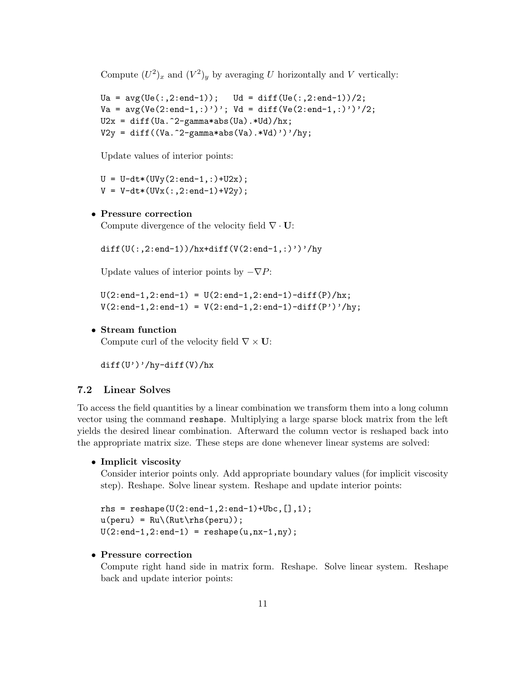Compute  $(U^2)_x$  and  $(V^2)_y$  by averaging U horizontally and V vertically:

```
Ua = avg(Ve(:,2:end-1)); Ud = diff(Ve(:,2:end-1))/2;Va = avg(Ve(2:end-1,:)'); Vd = diff(Ve(2:end-1,:)')'/2;U2x = diff(Ua.^2-gamma*abs(Ua).*Ud)/hx;V2y = diff((Va.^2-gamma*abs(Va).*Vd)')'/hy;
```
Update values of interior points:

 $U = U-dt*(UVy(2:end-1,:)+U2x);$  $V = V - dt * (UVx(:,2:end-1)+V2y);$ 

# • Pressure correction

Compute divergence of the velocity field  $\nabla \cdot \mathbf{U}$ :

diff( $U($ :,2:end-1))/hx+diff( $V(2:end-1,')'$ )'/hy

Update values of interior points by  $-\nabla P$ :

 $U(2:end-1,2:end-1) = U(2:end-1,2:end-1)-diff(P)/hx;$  $V(2:end-1, 2:end-1) = V(2:end-1, 2:end-1) - diff(P')'/hy;$ 

#### • Stream function

Compute curl of the velocity field  $\nabla \times \mathbf{U}$ :

 $diff(U')'/hy-diff(V)/hx$ 

### 7.2 Linear Solves

To access the field quantities by a linear combination we transform them into a long column vector using the command reshape. Multiplying a large sparse block matrix from the left yields the desired linear combination. Afterward the column vector is reshaped back into the appropriate matrix size. These steps are done whenever linear systems are solved:

• Implicit viscosity

Consider interior points only. Add appropriate boundary values (for implicit viscosity step). Reshape. Solve linear system. Reshape and update interior points:

 $r$ hs = reshape( $U(2:end-1,2:end-1)+Ubc$ ,  $[$ ], 1);  $u(\text{peru}) = Ru(\text{Rut}\r{h}(\text{peru}));$  $U(2:end-1, 2:end-1) = reshape(u, nx-1, ny);$ 

#### • Pressure correction

Compute right hand side in matrix form. Reshape. Solve linear system. Reshape back and update interior points: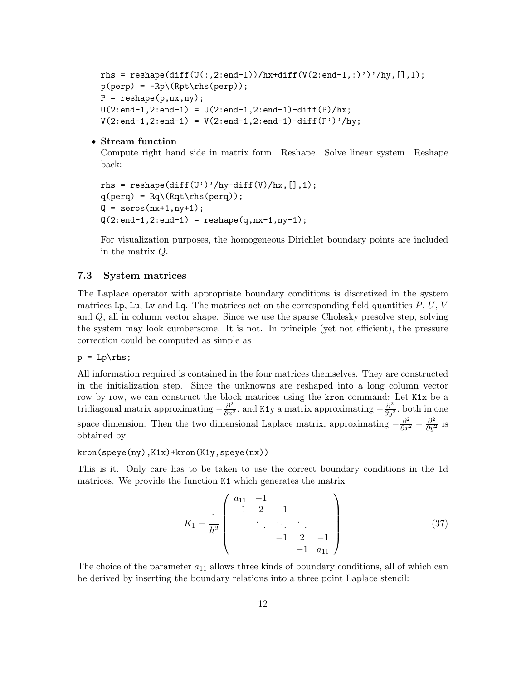```
rhs = reshape(diff(U(:,2:end-1))/hx+diff(V(2:end-1,:)')'/hy,[],1);
p(\text{perp}) = -Rp \(Rpt \rhspace{perp});
P = reshape(p,nx,ny);
U(2:end-1, 2:end-1) = U(2:end-1, 2:end-1) - diff(P)/hx;V(2:end-1,2:end-1) = V(2:end-1,2:end-1)-diff(P')'/hy;
```
### • Stream function

Compute right hand side in matrix form. Reshape. Solve linear system. Reshape back:

```
rhs = reshape(diff(U')'/hy-diff(V)/hx, [], 1);
q(\text{perq}) = \text{Rq}(\text{Rqt}\rhspace{0.1cm}(\text{perq}));
Q = zeros(nx+1, ny+1);Q(2:end-1, 2:end-1) = reshape(q, nx-1, ny-1);
```
For visualization purposes, the homogeneous Dirichlet boundary points are included in the matrix Q.

#### 7.3 System matrices

The Laplace operator with appropriate boundary conditions is discretized in the system matrices Lp, Lu, Lv and Lq. The matrices act on the corresponding field quantities  $P, U, V$ and Q, all in column vector shape. Since we use the sparse Cholesky presolve step, solving the system may look cumbersome. It is not. In principle (yet not efficient), the pressure correction could be computed as simple as

 $p = Lp\trh s;$ 

All information required is contained in the four matrices themselves. They are constructed in the initialization step. Since the unknowns are reshaped into a long column vector row by row, we can construct the block matrices using the kron command: Let K1x be a tridiagonal matrix approximating  $-\frac{\partial^2}{\partial x^2}$ , and K1y a matrix approximating  $-\frac{\partial^2}{\partial y^2}$ , both in one space dimension. Then the two dimensional Laplace matrix, approximating  $-\frac{\partial^2}{\partial x^2} - \frac{\partial^2}{\partial y^2}$  is obtained by

kron(speye(ny),K1x)+kron(K1y,speye(nx))

This is it. Only care has to be taken to use the correct boundary conditions in the 1d matrices. We provide the function K1 which generates the matrix

$$
K_1 = \frac{1}{h^2} \begin{pmatrix} a_{11} & -1 & & & \\ -1 & 2 & -1 & & \\ & \ddots & \ddots & \ddots & \\ & & -1 & 2 & -1 \\ & & & -1 & a_{11} \end{pmatrix}
$$
 (37)

The choice of the parameter  $a_{11}$  allows three kinds of boundary conditions, all of which can be derived by inserting the boundary relations into a three point Laplace stencil: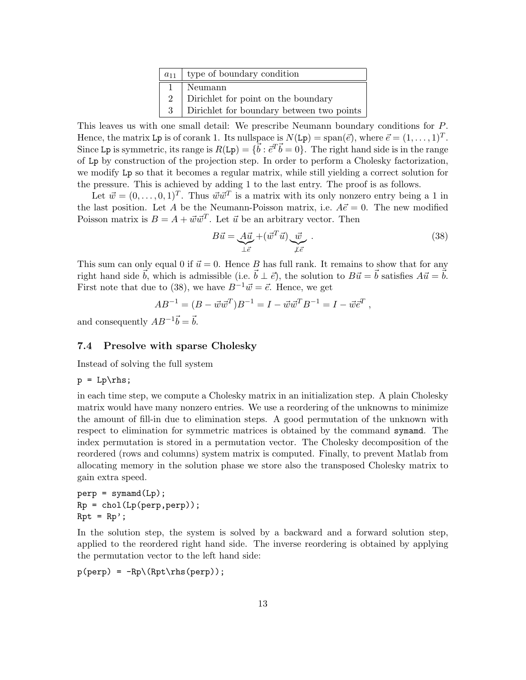| $a_{11}$ | type of boundary condition                |  |
|----------|-------------------------------------------|--|
|          | Neumann                                   |  |
|          | Dirichlet for point on the boundary       |  |
| 3        | Dirichlet for boundary between two points |  |

This leaves us with one small detail: We prescribe Neumann boundary conditions for P. Hence, the matrix Lp is of corank 1. Its nullspace is  $N(\text{Lp}) = \text{span}(\vec{e})$ , where  $\vec{e} = (1, \ldots, 1)^T$ . Since Lp is symmetric, its range is  $R(Lp) = \{\vec{b} : \vec{e}^T \vec{b} = 0\}$ . The right hand side is in the range of Lp by construction of the projection step. In order to perform a Cholesky factorization, we modify Lp so that it becomes a regular matrix, while still yielding a correct solution for the pressure. This is achieved by adding 1 to the last entry. The proof is as follows.

Let  $\vec{w} = (0, \ldots, 0, 1)^T$ . Thus  $\vec{w}\vec{w}^T$  is a matrix with its only nonzero entry being a 1 in the last position. Let A be the Neumann-Poisson matrix, i.e.  $A\vec{e} = 0$ . The new modified Poisson matrix is  $B = A + \vec{w}\vec{w}^T$ . Let  $\vec{u}$  be an arbitrary vector. Then

$$
B\vec{u} = \underbrace{A\vec{u}}_{\perp \vec{e}} + (\vec{w}^T \vec{u}) \underbrace{\vec{w}}_{\neq \vec{e}}.
$$
 (38)

This sum can only equal 0 if  $\vec{u} = 0$ . Hence B has full rank. It remains to show that for any right hand side  $\vec{b}$ , which is admissible (i.e.  $\vec{b} \perp \vec{e}$ ), the solution to  $B\vec{u} = \vec{b}$  satisfies  $A\vec{u} = \vec{b}$ . First note that due to (38), we have  $B^{-1} \vec{w} = \vec{e}$ . Hence, we get

$$
AB^{-1} = (B - \vec{w}\vec{w}^T)B^{-1} = I - \vec{w}\vec{w}^T B^{-1} = I - \vec{w}\vec{e}^T,
$$

and consequently  $AB^{-1}\vec{b} = \vec{b}$ .

### 7.4 Presolve with sparse Cholesky

Instead of solving the full system

$$
p = Lp\rhspace{0.04cm}\rthinspace s;
$$

in each time step, we compute a Cholesky matrix in an initialization step. A plain Cholesky matrix would have many nonzero entries. We use a reordering of the unknowns to minimize the amount of fill-in due to elimination steps. A good permutation of the unknown with respect to elimination for symmetric matrices is obtained by the command symamd. The index permutation is stored in a permutation vector. The Cholesky decomposition of the reordered (rows and columns) system matrix is computed. Finally, to prevent Matlab from allocating memory in the solution phase we store also the transposed Cholesky matrix to gain extra speed.

 $perp = symamd(Lp)$ ;  $Rp = chol(Lp(perp,perp));$  $Rpt = Rp$ ;

In the solution step, the system is solved by a backward and a forward solution step, applied to the reordered right hand side. The inverse reordering is obtained by applying the permutation vector to the left hand side:

 $p(\text{perp}) = -Rp \(Rpt \rhspace{perp})$ ;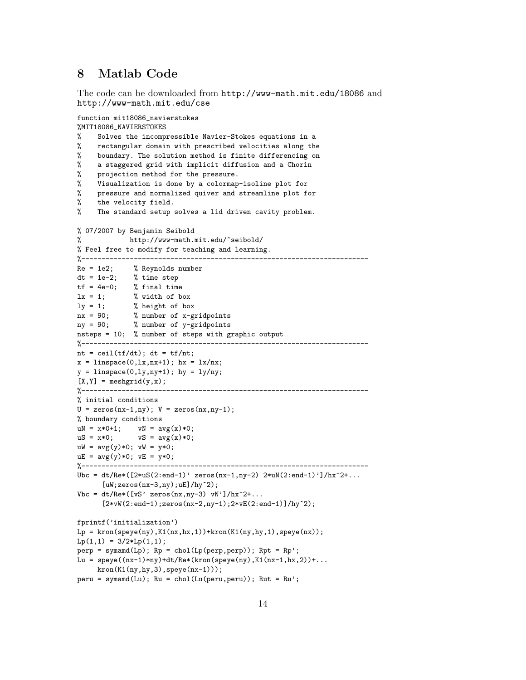# 8 Matlab Code

The code can be downloaded from http://www-math.mit.edu/18086 and http://www-math.mit.edu/cse

```
function mit18086_navierstokes
```

```
%MIT18086_NAVIERSTOKES
% Solves the incompressible Navier-Stokes equations in a
    rectangular domain with prescribed velocities along the
% boundary. The solution method is finite differencing on
% a staggered grid with implicit diffusion and a Chorin
% projection method for the pressure.
% Visualization is done by a colormap-isoline plot for
% pressure and normalized quiver and streamline plot for
% the velocity field.
% The standard setup solves a lid driven cavity problem.
% 07/2007 by Benjamin Seibold
% http://www-math.mit.edu/~seibold/
% Feel free to modify for teaching and learning.
%-----------------------------------------------------------------------
Re = 1e2; % Reynolds number
dt = 1e-2; % time step
tf = 4e-0; % final time
lx = 1; % width of box
ly = 1; % height of box
nx = 90; % number of x-gridpoints
ny = 90; % number of y-gridpoints
nsteps = 10; % number of steps with graphic output
%-----------------------------------------------------------------------
nt = ceil(tf/dt); dt = tf/nt;x = 1inspace(0,1x,nx+1); hx = 1x/nx;
y = 1inspace(0,1y,ny+1); hy = 1y/ny;
[X, Y] = meshgrid(y, x);%-----------------------------------------------------------------------
% initial conditions
U = zeros(nx-1,ny); V = zeros(nx,ny-1);% boundary conditions
uN = x*0+1; vN = avg(x)*0;
uS = x*0; vS = avg(x)*0;
uW = avg(y)*0; vW = y*0;
uE = avg(y)*0; vE = y*0;
%-----------------------------------------------------------------------
Ubc = dt/Re*([2*uS(2:end-1)' zeros(nx-1,ny-2) 2*uN(2:end-1)']/hx^2+...[uW;zeros(nx-3,ny);uE]/hy^2);Vbc = dt/Re*( [vS' zeros(nx,ny-3) vN']/hx^2+...[2*vw(2:end-1);zeros(nx-2,ny-1);2*vE(2:end-1)]/hy^2);fprintf('initialization')
Lp = kron(speye(ny), K1(nx,hx,1))+kron(K1(ny,hy,1), speye(nx));Lp(1,1) = 3/2 * Lp(1,1);perp = symamd(Lp); Rp = chol(Lp(perp,perp)); Rpt = Rp;
Lu = spec((nx-1)*ny)+dt/Re*(kron(speye(ny),K1(nx-1,hx,2))+...kron(K1(ny,hy,3),spec(nx-1)));
peru = symamd(Lu); Ru = chol(Lu(peru,peru)); Rut = Ru';
```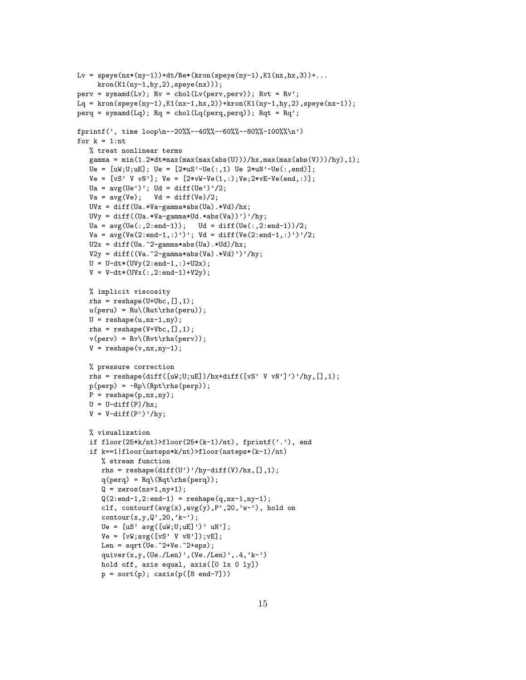```
Lv = spec(nx*(ny-1))+dt/Re*(kron(speye(ny-1),K1(nx,hx,3))+...kron(K1(ny-1,hy,2),speye(nx)));
perv = symamd(Lv); Rv = chol(Lv(perv, perv)); Rvt = RV';Lq = kron(speye(ny-1), K1(nx-1,hx,2)) + kron(K1(ny-1,hy,2), speye(nx-1));perq = symamd(Lq); Rq = chol(Lq(perq,perq)); Rqt = Rq';
fprintf(', time loop\n--20%%--40%%--60%%--80%%-100%%\n')
for k = 1:nt% treat nonlinear terms
   gamma = min(1.2*dt*max(max(max(abs(U)))/hx,max(max(abs(V)))/hy),1);Ue = [uW;U;uE]; Ue = [2*uS'-Ue(:,1) Ue 2*uW'-Ue(:,end)];
   Ve = [vS' V vN']; Ve = [2*vW-Ve(1,:);Ve;2*vE-Ve(end,:)];
   Ua = avg(Ue'); Ud = diff(Ue')/2;
   Va = avg(Ve); Vd = diff(Ve)/2;UVx = diff(Ua.*Va-gamma*abs(Ua).*Vd)/hx;
   UVy = diff((Ua.*Va-gamma*Ud.*abs(Va))')'/hy;
   Ua = avg(Ve(:,2:end-1)); Ud = diff(Ve(:,2:end-1))/2;Va = avg(Ve(2:end-1,:)'); Vd = diff(Ve(2:end-1,:)')'/2;U2x = diff(Ua.^2-gamma*abs(Ua).*Ud)/hx;V2y = diff((Va.^2-gamma*abs(Va).*Vd)')'/hy;U = U-dt*(UVy(2:end-1,:)+U2x);V = V - dt * (UVx(:,2:end-1)+V2y);% implicit viscosity
   rhs = reshape(U+Ubc, [], 1);
   u(\text{peru}) = Ru(\text{Rut}\rhs(\text{peru}));U = reshape(u, nx-1, ny);
   rhs = reshape(V+Vbc,[],1);
   v(\text{perv}) = Rv(\text{Rvt}\rhs(\text{perv}));V = \text{reshape}(v, nx, ny-1);% pressure correction
   rhs = reshape(diff([uW;U;uE])/hx+diff([vS' V vN']')'/hy,[],1);
   p(\text{perp}) = -Rp \(Rpt \rhspace{perp});
   P = reshape(p, nx, ny);
   U = U-diff(P)/hx;V = V-diff(P')'/hy;% visualization
   if floor(25*k/nt) > floor(25*(k-1)/nt), fprint('.''), end
   if k==1|floor(nsteps*k/nt)>floor(nsteps*(k-1)/nt)
      % stream function
      rhs = reshape(diff(U')'/hy-diff(V)/hx,[],1);
      q(perq) = Rq \(Rqt \rhspace{0.1cm}rls(perq));Q = zeros(nx+1, ny+1);Q(2:end-1, 2:end-1) = reshape(q, nx-1, ny-1);
      clf, contourf(avg(x), avg(y), P', 20, 'w-'), hold on
      contour(x,y,Q',20,'k-');
      Ue = [uS' \text{avg}([uW;U;uE]')' uN'];
      Ve = [vW; avg([vS' V vN')]); vE];Len = sqrt(Ue.^2+Ve.^2+eps);quiver(x,y,(Ue./Len)', (Ve./Len)', .4, 'k-')hold off, axis equal, axis([0 lx 0 ly])
      p = sort(p); caxis(p([8 \text{ end}-7]))
```